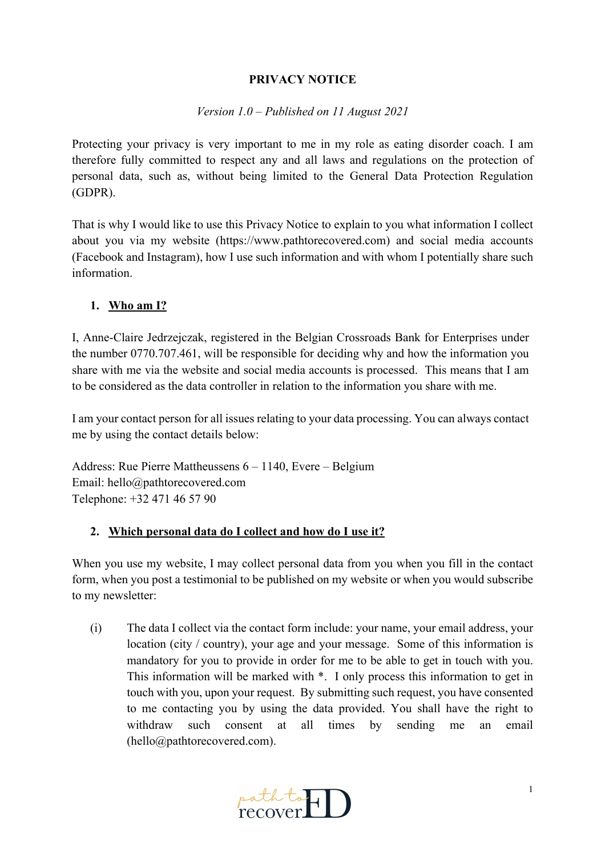### **PRIVACY NOTICE**

### *Version 1.0 – Published on 11 August 2021*

Protecting your privacy is very important to me in my role as eating disorder coach. I am therefore fully committed to respect any and all laws and regulations on the protection of personal data, such as, without being limited to the General Data Protection Regulation (GDPR).

That is why I would like to use this Privacy Notice to explain to you what information I collect about you via my website (https://www.pathtorecovered.com) and social media accounts (Facebook and Instagram), how I use such information and with whom I potentially share such information.

### **1. Who am I?**

I, Anne-Claire Jedrzejczak, registered in the Belgian Crossroads Bank for Enterprises under the number 0770.707.461, will be responsible for deciding why and how the information you share with me via the website and social media accounts is processed. This means that I am to be considered as the data controller in relation to the information you share with me.

I am your contact person for all issues relating to your data processing. You can always contact me by using the contact details below:

Address: Rue Pierre Mattheussens 6 – 1140, Evere – Belgium Email: hello@pathtorecovered.com Telephone: +32 471 46 57 90

### **2. Which personal data do I collect and how do I use it?**

When you use my website, I may collect personal data from you when you fill in the contact form, when you post a testimonial to be published on my website or when you would subscribe to my newsletter:

(i) The data I collect via the contact form include: your name, your email address, your location (city / country), your age and your message. Some of this information is mandatory for you to provide in order for me to be able to get in touch with you. This information will be marked with \*. I only process this information to get in touch with you, upon your request. By submitting such request, you have consented to me contacting you by using the data provided. You shall have the right to withdraw such consent at all times by sending me an email (hello@pathtorecovered.com).

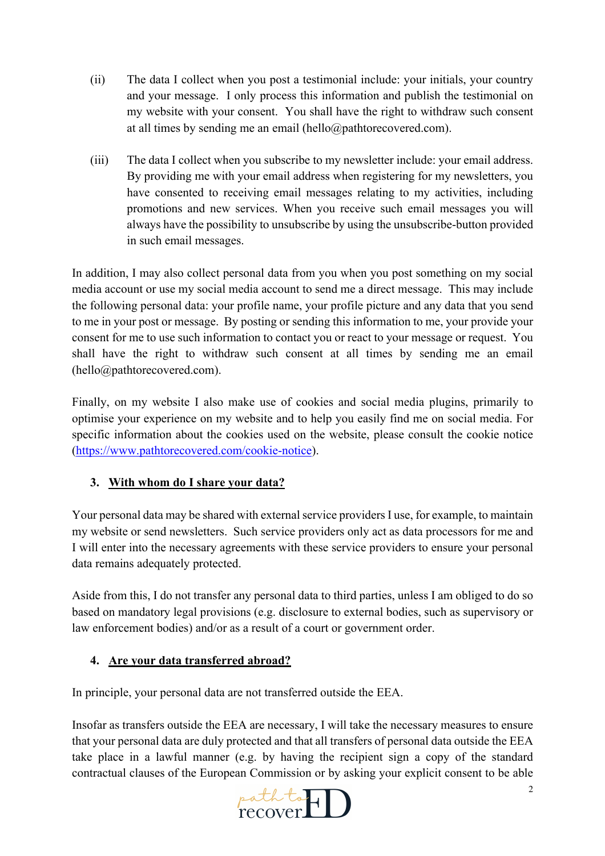- (ii) The data I collect when you post a testimonial include: your initials, your country and your message. I only process this information and publish the testimonial on my website with your consent. You shall have the right to withdraw such consent at all times by sending me an email (hello@pathtorecovered.com).
- (iii) The data I collect when you subscribe to my newsletter include: your email address. By providing me with your email address when registering for my newsletters, you have consented to receiving email messages relating to my activities, including promotions and new services. When you receive such email messages you will always have the possibility to unsubscribe by using the unsubscribe-button provided in such email messages.

In addition, I may also collect personal data from you when you post something on my social media account or use my social media account to send me a direct message. This may include the following personal data: your profile name, your profile picture and any data that you send to me in your post or message. By posting or sending this information to me, your provide your consent for me to use such information to contact you or react to your message or request. You shall have the right to withdraw such consent at all times by sending me an email (hello@pathtorecovered.com).

Finally, on my website I also make use of cookies and social media plugins, primarily to optimise your experience on my website and to help you easily find me on social media. For specific information about the cookies used on the website, please consult the cookie notice (https://www.pathtorecovered.com/cookie-notice).

# **3. With whom do I share your data?**

Your personal data may be shared with external service providers I use, for example, to maintain my website or send newsletters. Such service providers only act as data processors for me and I will enter into the necessary agreements with these service providers to ensure your personal data remains adequately protected.

Aside from this, I do not transfer any personal data to third parties, unless I am obliged to do so based on mandatory legal provisions (e.g. disclosure to external bodies, such as supervisory or law enforcement bodies) and/or as a result of a court or government order.

### **4. Are your data transferred abroad?**

In principle, your personal data are not transferred outside the EEA.

Insofar as transfers outside the EEA are necessary, I will take the necessary measures to ensure that your personal data are duly protected and that all transfers of personal data outside the EEA take place in a lawful manner (e.g. by having the recipient sign a copy of the standard contractual clauses of the European Commission or by asking your explicit consent to be able

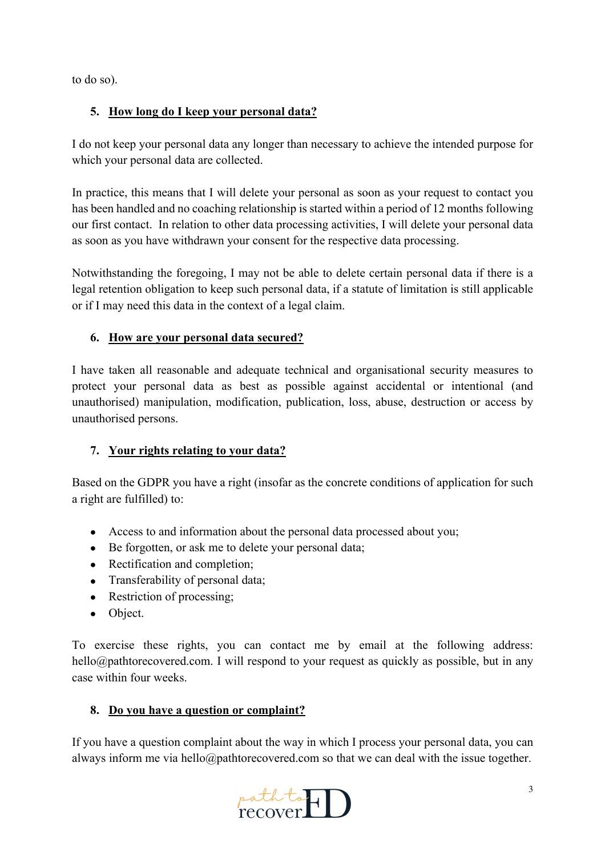to do so).

## **5. How long do I keep your personal data?**

I do not keep your personal data any longer than necessary to achieve the intended purpose for which your personal data are collected.

In practice, this means that I will delete your personal as soon as your request to contact you has been handled and no coaching relationship is started within a period of 12 months following our first contact. In relation to other data processing activities, I will delete your personal data as soon as you have withdrawn your consent for the respective data processing.

Notwithstanding the foregoing, I may not be able to delete certain personal data if there is a legal retention obligation to keep such personal data, if a statute of limitation is still applicable or if I may need this data in the context of a legal claim.

### **6. How are your personal data secured?**

I have taken all reasonable and adequate technical and organisational security measures to protect your personal data as best as possible against accidental or intentional (and unauthorised) manipulation, modification, publication, loss, abuse, destruction or access by unauthorised persons.

### **7. Your rights relating to your data?**

Based on the GDPR you have a right (insofar as the concrete conditions of application for such a right are fulfilled) to:

- Access to and information about the personal data processed about you;
- Be forgotten, or ask me to delete your personal data;
- Rectification and completion;
- Transferability of personal data;
- Restriction of processing;
- Object.

To exercise these rights, you can contact me by email at the following address: hello@pathtorecovered.com. I will respond to your request as quickly as possible, but in any case within four weeks.

### **8. Do you have a question or complaint?**

If you have a question complaint about the way in which I process your personal data, you can always inform me via hello@pathtorecovered.com so that we can deal with the issue together.